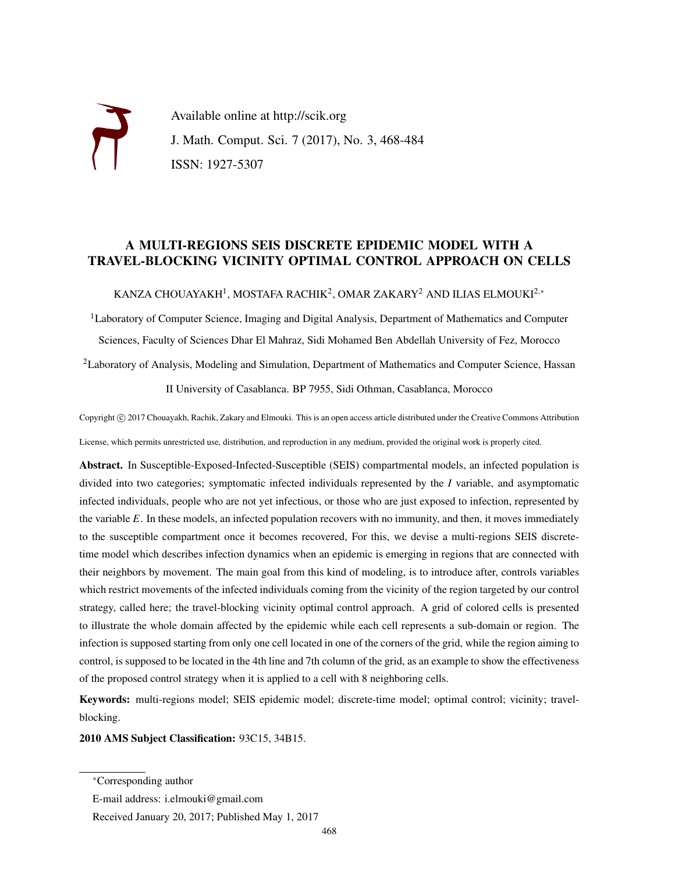Available online at http://scik.org J. Math. Comput. Sci. 7 (2017), No. 3, 468-484 ISSN: 1927-5307

# A MULTI-REGIONS SEIS DISCRETE EPIDEMIC MODEL WITH A TRAVEL-BLOCKING VICINITY OPTIMAL CONTROL APPROACH ON CELLS

KANZA CHOUAYAKH $^1$ , MOSTAFA RACHIK $^2$ , OMAR ZAKARY $^2$  AND ILIAS ELMOUKI $^{2,\ast}$ 

<sup>1</sup>Laboratory of Computer Science, Imaging and Digital Analysis, Department of Mathematics and Computer Sciences, Faculty of Sciences Dhar El Mahraz, Sidi Mohamed Ben Abdellah University of Fez, Morocco

<sup>2</sup>Laboratory of Analysis, Modeling and Simulation, Department of Mathematics and Computer Science, Hassan

II University of Casablanca. BP 7955, Sidi Othman, Casablanca, Morocco

Copyright © 2017 Chouayakh, Rachik, Zakary and Elmouki. This is an open access article distributed under the Creative Commons Attribution License, which permits unrestricted use, distribution, and reproduction in any medium, provided the original work is properly cited.

Abstract. In Susceptible-Exposed-Infected-Susceptible (SEIS) compartmental models, an infected population is divided into two categories; symptomatic infected individuals represented by the *I* variable, and asymptomatic infected individuals, people who are not yet infectious, or those who are just exposed to infection, represented by the variable *E*. In these models, an infected population recovers with no immunity, and then, it moves immediately to the susceptible compartment once it becomes recovered, For this, we devise a multi-regions SEIS discretetime model which describes infection dynamics when an epidemic is emerging in regions that are connected with their neighbors by movement. The main goal from this kind of modeling, is to introduce after, controls variables which restrict movements of the infected individuals coming from the vicinity of the region targeted by our control strategy, called here; the travel-blocking vicinity optimal control approach. A grid of colored cells is presented to illustrate the whole domain affected by the epidemic while each cell represents a sub-domain or region. The infection is supposed starting from only one cell located in one of the corners of the grid, while the region aiming to control, is supposed to be located in the 4th line and 7th column of the grid, as an example to show the effectiveness of the proposed control strategy when it is applied to a cell with 8 neighboring cells.

Keywords: multi-regions model; SEIS epidemic model; discrete-time model; optimal control; vicinity; travelblocking.

#### 2010 AMS Subject Classification: 93C15, 34B15.

Received January 20, 2017; Published May 1, 2017

<sup>∗</sup>Corresponding author

E-mail address: i.elmouki@gmail.com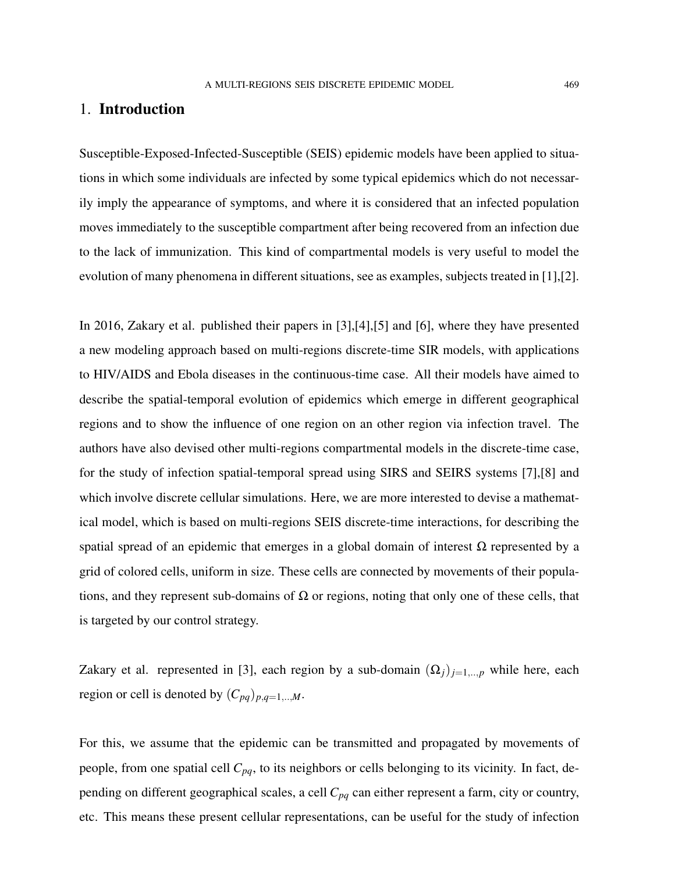# 1. Introduction

Susceptible-Exposed-Infected-Susceptible (SEIS) epidemic models have been applied to situations in which some individuals are infected by some typical epidemics which do not necessarily imply the appearance of symptoms, and where it is considered that an infected population moves immediately to the susceptible compartment after being recovered from an infection due to the lack of immunization. This kind of compartmental models is very useful to model the evolution of many phenomena in different situations, see as examples, subjects treated in [1],[2].

In 2016, Zakary et al. published their papers in [3],[4],[5] and [6], where they have presented a new modeling approach based on multi-regions discrete-time SIR models, with applications to HIV/AIDS and Ebola diseases in the continuous-time case. All their models have aimed to describe the spatial-temporal evolution of epidemics which emerge in different geographical regions and to show the influence of one region on an other region via infection travel. The authors have also devised other multi-regions compartmental models in the discrete-time case, for the study of infection spatial-temporal spread using SIRS and SEIRS systems [7],[8] and which involve discrete cellular simulations. Here, we are more interested to devise a mathematical model, which is based on multi-regions SEIS discrete-time interactions, for describing the spatial spread of an epidemic that emerges in a global domain of interest  $\Omega$  represented by a grid of colored cells, uniform in size. These cells are connected by movements of their populations, and they represent sub-domains of  $\Omega$  or regions, noting that only one of these cells, that is targeted by our control strategy.

Zakary et al. represented in [3], each region by a sub-domain  $(\Omega_j)_{j=1,..,p}$  while here, each region or cell is denoted by  $(C_{pq})_{p,q=1,\dots,M}$ .

For this, we assume that the epidemic can be transmitted and propagated by movements of people, from one spatial cell *Cpq*, to its neighbors or cells belonging to its vicinity. In fact, depending on different geographical scales, a cell *Cpq* can either represent a farm, city or country, etc. This means these present cellular representations, can be useful for the study of infection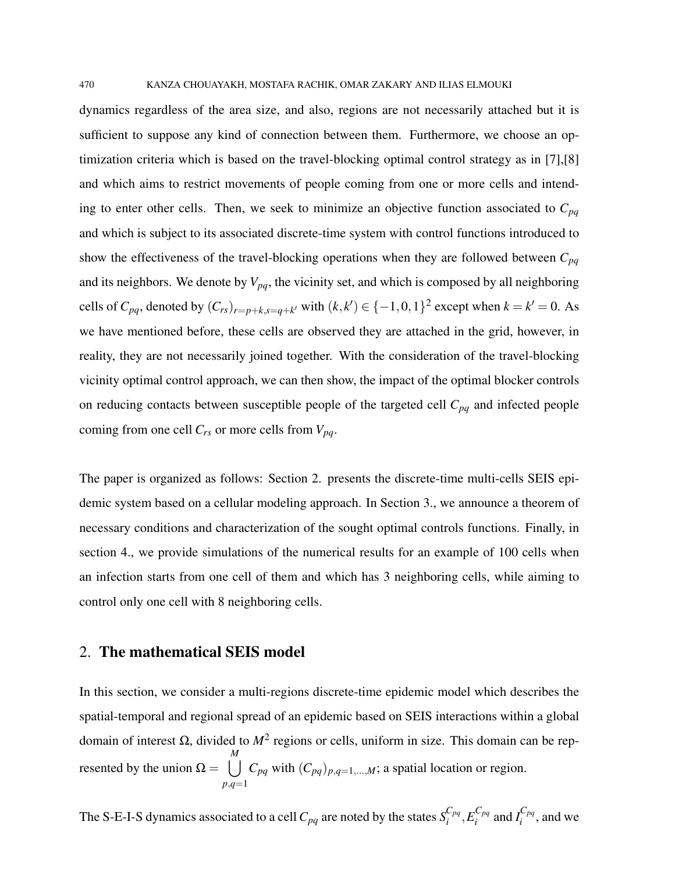dynamics regardless of the area size, and also, regions are not necessarily attached but it is sufficient to suppose any kind of connection between them. Furthermore, we choose an optimization criteria which is based on the travel-blocking optimal control strategy as in [7],[8] and which aims to restrict movements of people coming from one or more cells and intending to enter other cells. Then, we seek to minimize an objective function associated to  $C_{pq}$ and which is subject to its associated discrete-time system with control functions introduced to show the effectiveness of the travel-blocking operations when they are followed between *Cpq* and its neighbors. We denote by  $V_{pq}$ , the vicinity set, and which is composed by all neighboring cells of  $C_{pq}$ , denoted by  $(C_{rs})_{r=p+k,s=q+k'}$  with  $(k, k') \in \{-1, 0, 1\}^2$  except when  $k = k' = 0$ . As we have mentioned before, these cells are observed they are attached in the grid, however, in reality, they are not necessarily joined together. With the consideration of the travel-blocking vicinity optimal control approach, we can then show, the impact of the optimal blocker controls on reducing contacts between susceptible people of the targeted cell *Cpq* and infected people coming from one cell *Crs* or more cells from *Vpq*.

The paper is organized as follows: Section 2. presents the discrete-time multi-cells SEIS epidemic system based on a cellular modeling approach. In Section 3., we announce a theorem of necessary conditions and characterization of the sought optimal controls functions. Finally, in section 4., we provide simulations of the numerical results for an example of 100 cells when an infection starts from one cell of them and which has 3 neighboring cells, while aiming to control only one cell with 8 neighboring cells.

# 2. The mathematical SEIS model

In this section, we consider a multi-regions discrete-time epidemic model which describes the spatial-temporal and regional spread of an epidemic based on SEIS interactions within a global domain of interest Ω, divided to *M*<sup>2</sup> regions or cells, uniform in size. This domain can be represented by the union  $\Omega = \cup$ *M p*,*q*=1  $C_{pq}$  with  $(C_{pq})_{p,q=1,\dots,M}$ ; a spatial location or region.

The S-E-I-S dynamics associated to a cell  $C_{pq}$  are noted by the states  $S_i^{C_{pq}}$  $\frac{C_{pq}}{i}, E^{C_{pq}}_{i}$  $\int_i^{C_{pq}}$  and  $I_i^{C_{pq}}$  $\int_i^{C_{pq}}$ , and we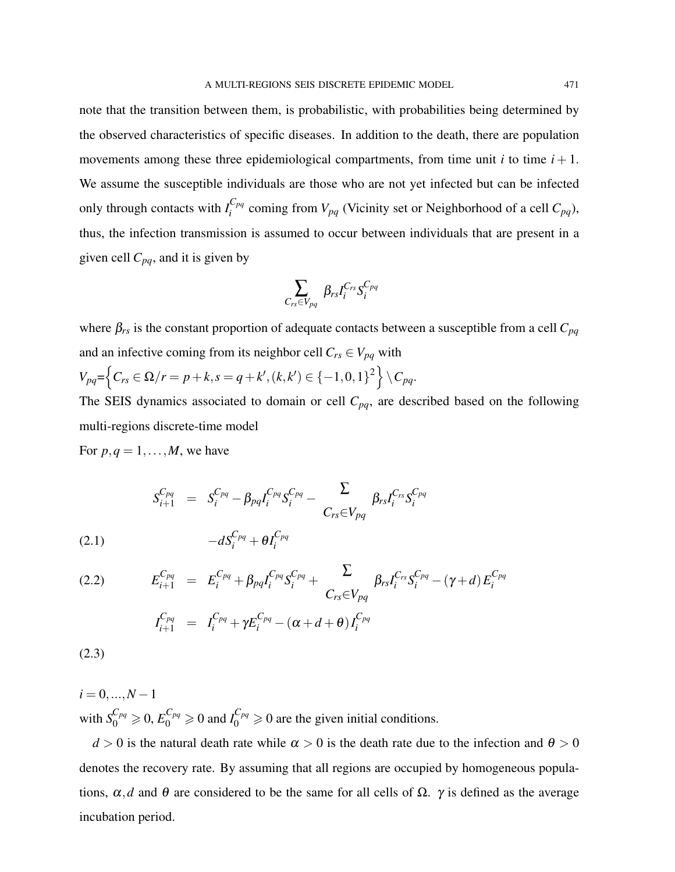note that the transition between them, is probabilistic, with probabilities being determined by the observed characteristics of specific diseases. In addition to the death, there are population movements among these three epidemiological compartments, from time unit  $i$  to time  $i + 1$ . We assume the susceptible individuals are those who are not yet infected but can be infected only through contacts with  $I_i^{C_{pq}}$  $\sum_{i}^{C_{pq}}$  coming from  $V_{pq}$  (Vicinity set or Neighborhood of a cell  $C_{pq}$ ), thus, the infection transmission is assumed to occur between individuals that are present in a given cell *Cpq*, and it is given by

$$
\sum_{C_{rs}\in V_{pq}}\ \beta_{rs} I_{i}^{C_{rs}}S_{i}^{C_{pq}}
$$

where  $\beta_{rs}$  is the constant proportion of adequate contacts between a susceptible from a cell  $C_{pq}$ and an infective coming from its neighbor cell  $C_{rs} \in V_{pq}$  with  $V_{pq} = \left\{ C_{rs} \in \Omega / r = p + k, s = q + k', (k, k') \in \{-1, 0, 1\}^2 \right\} \setminus C_{pq}.$ 

The SEIS dynamics associated to domain or cell *Cpq*, are described based on the following multi-regions discrete-time model

For  $p, q = 1, \ldots, M$ , we have

$$
\begin{array}{lll} S_{i+1}^{C_{pq}} & = & S_{i}^{C_{pq}}-\beta_{pq}I_{i}^{C_{pq}}S_{i}^{C_{pq}}-\frac{\sum\limits_{C_{rs}\in V_{pq}}\beta_{rs}I_{i}^{C_{rs}}S_{i}^{C_{pq}}\\ &&-dS_{i}^{C_{pq}}+\theta I_{i}^{C_{pq}} \end{array}
$$

*i*

(2.2) 
$$
E_{i+1}^{C_{pq}} = E_i^{C_{pq}} + \beta_{pq} I_i^{C_{pq}} S_i^{C_{pq}} + \sum_{C_{rs} \in V_{pq}} \beta_{rs} I_i^{C_{rs}} S_i^{C_{pq}} - (\gamma + d) E_i^{C_{pq}}
$$

$$
I_{i+1}^{C_{pq}} = I_i^{C_{pq}} + \gamma E_i^{C_{pq}} - (\alpha + d + \theta) I_i^{C_{pq}}
$$

(2.3)

(2.1)

 $i = 0, \ldots, N-1$ with  $S_0^{C_{pq}} \ge 0$ ,  $E_0^{C_{pq}} \ge 0$  and  $I_0^{C_{pq}} \ge 0$  are the given initial conditions.

 $d > 0$  is the natural death rate while  $\alpha > 0$  is the death rate due to the infection and  $\theta > 0$ denotes the recovery rate. By assuming that all regions are occupied by homogeneous populations,  $\alpha$ , *d* and  $\theta$  are considered to be the same for all cells of  $\Omega$ .  $\gamma$  is defined as the average incubation period.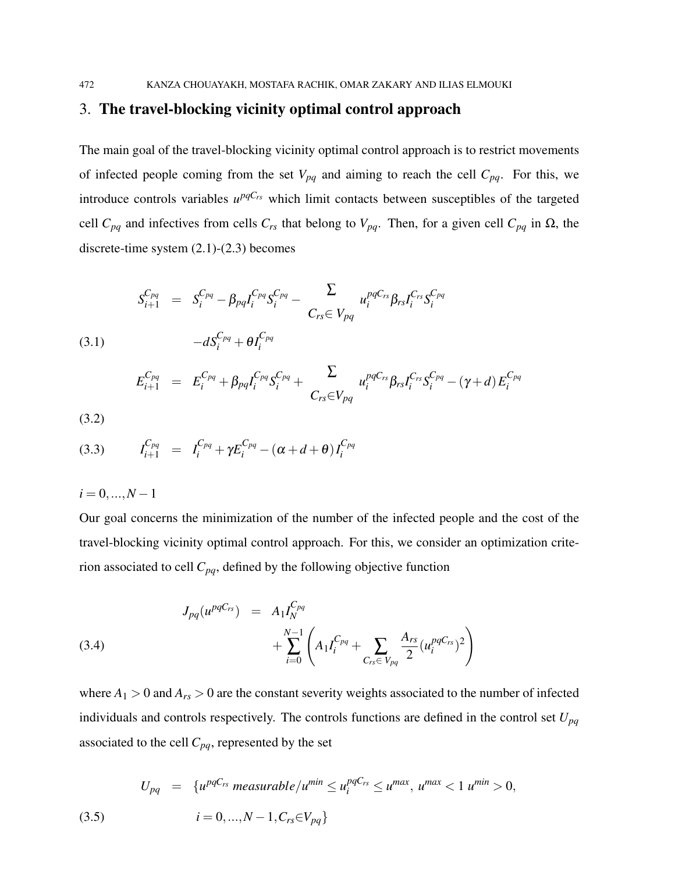# 3. The travel-blocking vicinity optimal control approach

The main goal of the travel-blocking vicinity optimal control approach is to restrict movements of infected people coming from the set  $V_{pq}$  and aiming to reach the cell  $C_{pq}$ . For this, we introduce controls variables  $u^{pqC_{rs}}$  which limit contacts between susceptibles of the targeted cell  $C_{pq}$  and infectives from cells  $C_{rs}$  that belong to  $V_{pq}$ . Then, for a given cell  $C_{pq}$  in  $\Omega$ , the discrete-time system (2.1)-(2.3) becomes

(3.1) 
$$
S_{i+1}^{C_{pq}} = S_i^{C_{pq}} - \beta_{pq} I_i^{C_{pq}} S_i^{C_{pq}} - \sum_{C_{rs} \in V_{pq}} u_i^{pqC_{rs}} \beta_{rs} I_i^{C_{rs}} S_i^{C_{pq}}
$$

$$
-d S_i^{C_{pq}} + \theta I_i^{C_{pq}}
$$

$$
E_{i+1}^{C_{pq}} = E_i^{C_{pq}} + \beta_{pq} I_i^{C_{pq}} S_i^{C_{pq}} + \sum_{C_{rs} \in V_{pq}} u_i^{pqC_{rs}} \beta_{rs} I_i^{C_{rs}} S_i^{C_{pq}} - (\gamma + d) E_i^{C_{pq}}
$$

(3.2)

(3.3) 
$$
I_{i+1}^{C_{pq}} = I_i^{C_{pq}} + \gamma E_i^{C_{pq}} - (\alpha + d + \theta) I_i^{C_{pq}}
$$

 $i = 0, ..., N - 1$ 

Our goal concerns the minimization of the number of the infected people and the cost of the travel-blocking vicinity optimal control approach. For this, we consider an optimization criterion associated to cell *Cpq*, defined by the following objective function

(3.4) 
$$
J_{pq}(u^{pqC_{rs}}) = A_1 I_N^{C_{pq}} + \sum_{i=0}^{N-1} \left( A_1 I_i^{C_{pq}} + \sum_{C_{rs} \in V_{pq}} \frac{A_{rs}}{2} (u_i^{pqC_{rs}})^2 \right)
$$

where  $A_1 > 0$  and  $A_{rs} > 0$  are the constant severity weights associated to the number of infected individuals and controls respectively. The controls functions are defined in the control set *Upq* associated to the cell  $C_{pq}$ , represented by the set

(3.5) 
$$
U_{pq} = \{u^{pqC_{rs}} \text{ measurable}/u^{min} \le u_i^{pqC_{rs}} \le u^{max}, u^{max} < 1 \ u^{min} > 0, i = 0, ..., N - 1, C_{rs} \in V_{pq}\}
$$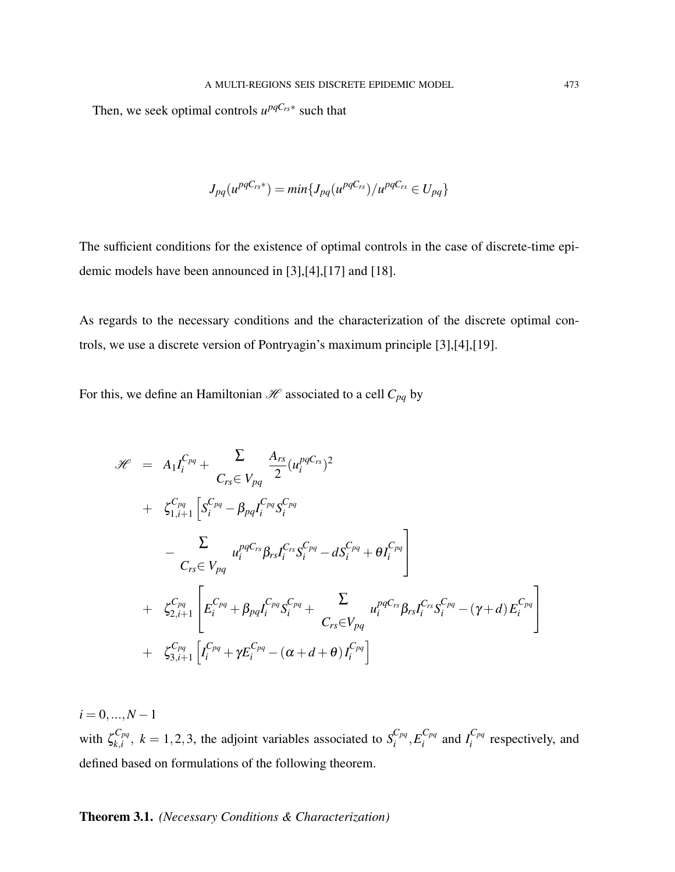Then, we seek optimal controls  $u^{pqC_{rs}*}$  such that

$$
J_{pq}(u^{pqC_{rs}*}) = min\{J_{pq}(u^{pqC_{rs}})/u^{pqC_{rs}} \in U_{pq}\}
$$

The sufficient conditions for the existence of optimal controls in the case of discrete-time epidemic models have been announced in [3],[4],[17] and [18].

As regards to the necessary conditions and the characterization of the discrete optimal controls, we use a discrete version of Pontryagin's maximum principle [3],[4],[19].

For this, we define an Hamiltonian  $\mathcal{H}$  associated to a cell  $C_{pq}$  by

$$
\mathcal{H} = A_1 I_i^{C_{pq}} + \sum_{C_{rs} \in V_{pq}} \frac{A_{rs}}{2} (u_i^{pqC_{rs}})^2 \n+ \zeta_{1,i+1}^{C_{pq}} \left[ S_i^{C_{pq}} - \beta_{pq} I_i^{C_{pq}} S_i^{C_{pq}} \right] \n- \sum_{C_{rs} \in V_{pq}} u_i^{pqC_{rs}} \beta_{rs} I_i^{C_{rs}} S_i^{C_{pq}} - d S_i^{C_{pq}} + \theta I_i^{C_{pq}} \right] \n+ \zeta_{2,i+1}^{C_{pq}} \left[ E_i^{C_{pq}} + \beta_{pq} I_i^{C_{pq}} S_i^{C_{pq}} + \sum_{C_{rs} \in V_{pq}} u_i^{pqC_{rs}} \beta_{rs} I_i^{C_{rs}} S_i^{C_{pq}} - (\gamma + d) E_i^{C_{pq}} \right] \n+ \zeta_{3,i+1}^{C_{pq}} \left[ I_i^{C_{pq}} + \gamma E_i^{C_{pq}} - (\alpha + d + \theta) I_i^{C_{pq}} \right]
$$

 $i = 0, ..., N - 1$ with  $\zeta_{k,i}^{C_{pq}}$  ${}_{k,i}^{C_{pq}}$ ,  $k = 1,2,3$ , the adjoint variables associated to  $S_i^{C_{pq}}$  $\frac{C_{pq}}{i}, E^{C_{pq}}_{i}$  $\int_i^{C_{pq}}$  and  $I_i^{C_{pq}}$  $\int_{i}^{\infty}$  respectively, and defined based on formulations of the following theorem.

# Theorem 3.1. *(Necessary Conditions & Characterization)*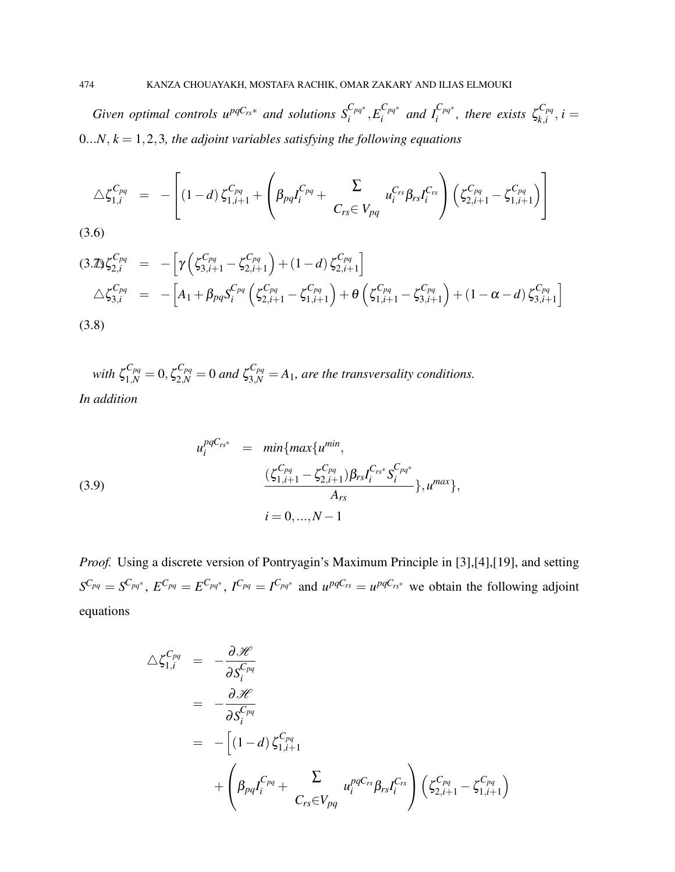*Given optimal controls*  $u^{pqC_{rs}*}$  *and solutions*  $S_i^{C_{pq}*}, E_i^{C_{pq}*}$  $\int_i^{C_{pq^*}}$  and  $I_i^{C_{pq^*}}$ , there exists  $\zeta_{k,i}^{C_{pq}}$  $\sum_{k,i}^{Cpq}, i =$  $0...N, k = 1, 2, 3$ , the adjoint variables satisfying the following equations

$$
\Delta \zeta_{1,i}^{C_{pq}} = - \left[ (1-d) \zeta_{1,i+1}^{C_{pq}} + \left( \beta_{pq} I_i^{C_{pq}} + \sum_{C_{rs} \in V_{pq}} u_i^{C_{rs}} \beta_{rs} I_i^{C_{rs}} \right) \left( \zeta_{2,i+1}^{C_{pq}} - \zeta_{1,i+1}^{C_{pq}} \right) \right]
$$
\n(3.6)

$$
(3.2) \zeta_{2,i}^{C_{pq}} = -\left[\gamma \left(\zeta_{3,i+1}^{C_{pq}} - \zeta_{2,i+1}^{C_{pq}}\right) + (1-d) \zeta_{2,i+1}^{C_{pq}}\right] \triangle \zeta_{3,i}^{C_{pq}} = -\left[A_1 + \beta_{pq} S_i^{C_{pq}} \left(\zeta_{2,i+1}^{C_{pq}} - \zeta_{1,i+1}^{C_{pq}}\right) + \theta \left(\zeta_{1,i+1}^{C_{pq}} - \zeta_{3,i+1}^{C_{pq}}\right) + (1-\alpha-d) \zeta_{3,i+1}^{C_{pq}}\right] (3.8)
$$

with  $\zeta_{1,N}^{C_{pq}} = 0$ ,  $\zeta_{2,N}^{C_{pq}} = 0$  and  $\zeta_{3,N}^{C_{pq}} = A_1$ , are the transversality conditions. *In addition*

(3.9)  

$$
u_i^{pqC_{rs^*}} = min\{max\{u^{min}, \newline \frac{(\zeta_{1,i+1}^{C_{pq}} - \zeta_{2,i+1}^{C_{pq}})\beta_{rs}I_i^{C_{rs^*}}\zeta_i^{C_{pq^*}}}{A_{rs}}\}, u^{max}\},
$$

$$
i = 0,..., N - 1
$$

*Proof.* Using a discrete version of Pontryagin's Maximum Principle in [3],[4],[19], and setting  $S^{C_{pq}} = S^{C_{pq}}$ ,  $E^{C_{pq}} = E^{C_{pq}}$ ,  $I^{C_{pq}} = I^{C_{pq}}$  and  $u^{pqC_{rs}} = u^{pqC_{rs}}$  we obtain the following adjoint equations

$$
\Delta \zeta_{1,i}^{C_{pq}} = -\frac{\partial \mathcal{H}}{\partial S_i^{C_{pq}}}
$$
\n
$$
= -\frac{\partial \mathcal{H}}{\partial S_i^{C_{pq}}}
$$
\n
$$
= -\left[ (1-d) \zeta_{1,i+1}^{C_{pq}} \right]
$$
\n
$$
+ \left( \beta_{pq} I_i^{C_{pq}} + \sum_{C_{rs} \in V_{pq}} u_i^{pqC_{rs}} \beta_{rs} I_i^{C_{rs}} \right) \left( \zeta_{2,i+1}^{C_{pq}} - \zeta_{1,i+1}^{C_{pq}} \right)
$$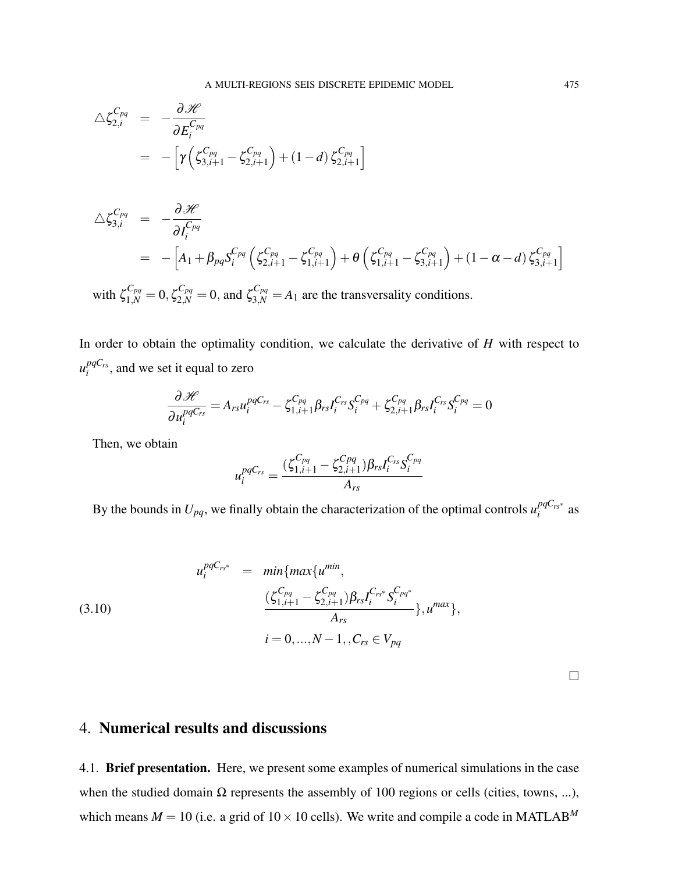$$
\Delta \zeta_{2,i}^{C_{pq}} = -\frac{\partial \mathscr{H}}{\partial E_i^{C_{pq}}}
$$
  
= 
$$
- \left[ \gamma \left( \zeta_{3,i+1}^{C_{pq}} - \zeta_{2,i+1}^{C_{pq}} \right) + (1-d) \zeta_{2,i+1}^{C_{pq}} \right]
$$

$$
\Delta \zeta_{3,i}^{C_{pq}} = -\frac{\partial \mathscr{H}}{\partial I_i^{C_{pq}}} \\
= -\left[A_1 + \beta_{pq} S_i^{C_{pq}} \left(\zeta_{2,i+1}^{C_{pq}} - \zeta_{1,i+1}^{C_{pq}}\right) + \theta \left(\zeta_{1,i+1}^{C_{pq}} - \zeta_{3,i+1}^{C_{pq}}\right) + (1 - \alpha - d) \zeta_{3,i+1}^{C_{pq}}\right]
$$

with  $\zeta_{1,N}^{C_{pq}} = 0$ ,  $\zeta_{2,N}^{C_{pq}} = 0$ , and  $\zeta_{3,N}^{C_{pq}} = A_1$  are the transversality conditions.

In order to obtain the optimality condition, we calculate the derivative of *H* with respect to  $u_i^{pqC_{rs}}$  $i^{pqCrs}$ , and we set it equal to zero

$$
\frac{\partial \mathscr{H}}{\partial u_i^{pqC_{rs}}} = A_{rs} u_i^{pqC_{rs}} - \zeta_{1,i+1}^{C_{pq}} \beta_{rs} I_i^{C_{rs}} S_i^{C_{pq}} + \zeta_{2,i+1}^{C_{pq}} \beta_{rs} I_i^{C_{rs}} S_i^{C_{pq}} = 0
$$

Then, we obtain

$$
u_i^{pqC_{rs}} = \frac{(\zeta_{1,i+1}^{C_{pq}} - \zeta_{2,i+1}^{C_{pq}})\beta_{rs}I_i^{C_{rs}}\mathcal{S}_i^{C_{pq}}}{A_{rs}}
$$

By the bounds in  $U_{pq}$ , we finally obtain the characterization of the optimal controls  $u_i^{pqC_{rs}*}$  $\int_{i}^{pqC_{rs}*}$  as

(3.10)  

$$
u_i^{pqC_{rs^*}} = min\{max\{u^{min}, \newline (\underline{\zeta_{1,i+1}^{C_{pq}} - \underline{\zeta_{2,i+1}^{C_{pq}}})} \beta_{rs} I_i^{C_{rs^*}} S_i^{C_{pq^*}} \newline A_{rs} \newline i = 0, ..., N-1, C_{rs} \in V_{pq}
$$

 $\Box$ 

# 4. Numerical results and discussions

4.1. Brief presentation. Here, we present some examples of numerical simulations in the case when the studied domain  $\Omega$  represents the assembly of 100 regions or cells (cities, towns, ...), which means  $M = 10$  (i.e. a grid of  $10 \times 10$  cells). We write and compile a code in MATLAB<sup>M</sup>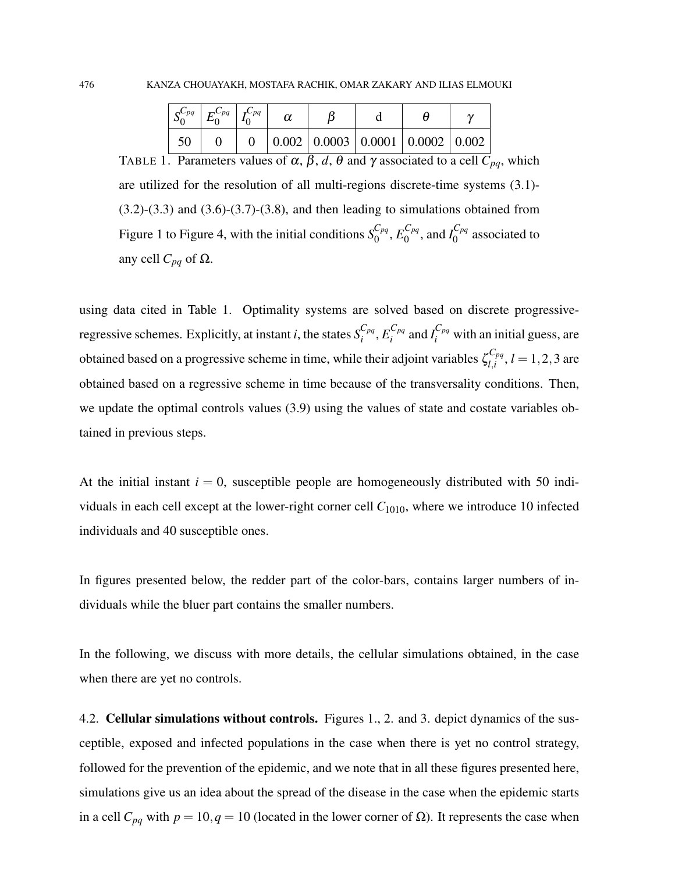|  | $\left  \mathcal{C}_{pq} \right  \left  \mathcal{F}_{pq} \right  \left  \mathcal{C}_{pq} \right $ |  |  |                                                                  |  |
|--|---------------------------------------------------------------------------------------------------|--|--|------------------------------------------------------------------|--|
|  |                                                                                                   |  |  | $\vert 0.002 \vert 0.0003 \vert 0.0001 \vert 0.0002 \vert 0.002$ |  |

TABLE 1. Parameters values of  $\alpha$ ,  $\beta$ ,  $d$ ,  $\theta$  and  $\gamma$  associated to a cell  $\overline{C}_{pq}$ , which are utilized for the resolution of all multi-regions discrete-time systems (3.1)-  $(3.2)$ - $(3.3)$  and  $(3.6)$ - $(3.7)$ - $(3.8)$ , and then leading to simulations obtained from Figure 1 to Figure 4, with the initial conditions  $S_0^{C_{pq}}$  $\epsilon_{pq}^{C_{pq}}, E_0^{C_{pq}}$  $I_0^{C_{pq}},$  and  $I_0^{C_{pq}}$  $\int_{0}^{\infty}$  associated to any cell  $C_{pq}$  of Ω.

using data cited in Table 1. Optimality systems are solved based on discrete progressiveregressive schemes. Explicitly, at instant *i*, the states  $S_i^{C_{pq}}$  $\frac{C_{pq}}{i}, E^{C_{pq}}_{i}$  $\int_{i}^{C_{pq}}$  and  $I_i^{C_{pq}}$  with an initial guess, are obtained based on a progressive scheme in time, while their adjoint variables  $\zeta_{l,i}^{C_{pq}}$  $l_{l,i}^{\text{C}_{pq}}$ ,  $l = 1, 2, 3$  are obtained based on a regressive scheme in time because of the transversality conditions. Then, we update the optimal controls values (3.9) using the values of state and costate variables obtained in previous steps.

At the initial instant  $i = 0$ , susceptible people are homogeneously distributed with 50 individuals in each cell except at the lower-right corner cell *C*1010, where we introduce 10 infected individuals and 40 susceptible ones.

In figures presented below, the redder part of the color-bars, contains larger numbers of individuals while the bluer part contains the smaller numbers.

In the following, we discuss with more details, the cellular simulations obtained, in the case when there are yet no controls.

4.2. **Cellular simulations without controls.** Figures 1., 2. and 3. depict dynamics of the susceptible, exposed and infected populations in the case when there is yet no control strategy, followed for the prevention of the epidemic, and we note that in all these figures presented here, simulations give us an idea about the spread of the disease in the case when the epidemic starts in a cell  $C_{pq}$  with  $p = 10$ ,  $q = 10$  (located in the lower corner of  $\Omega$ ). It represents the case when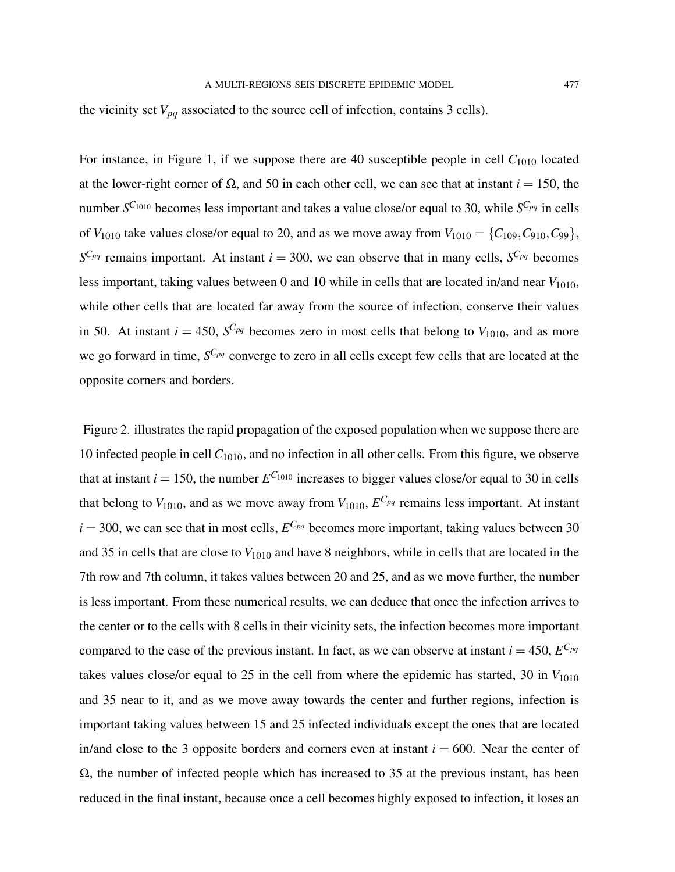the vicinity set  $V_{pq}$  associated to the source cell of infection, contains 3 cells).

For instance, in Figure 1, if we suppose there are 40 susceptible people in cell  $C_{1010}$  located at the lower-right corner of Ω, and 50 in each other cell, we can see that at instant *i* = 150, the number *S <sup>C</sup>*<sup>1010</sup> becomes less important and takes a value close/or equal to 30, while *S <sup>C</sup>pq* in cells of  $V_{1010}$  take values close/or equal to 20, and as we move away from  $V_{1010} = \{C_{109}, C_{910}, C_{99}\},$  $S^{C_{pq}}$  remains important. At instant  $i = 300$ , we can observe that in many cells,  $S^{C_{pq}}$  becomes less important, taking values between 0 and 10 while in cells that are located in/and near  $V_{1010}$ , while other cells that are located far away from the source of infection, conserve their values in 50. At instant  $i = 450$ ,  $S^{C_{pq}}$  becomes zero in most cells that belong to  $V_{1010}$ , and as more we go forward in time, *S <sup>C</sup>pq* converge to zero in all cells except few cells that are located at the opposite corners and borders.

Figure 2. illustrates the rapid propagation of the exposed population when we suppose there are 10 infected people in cell *C*1010, and no infection in all other cells. From this figure, we observe that at instant  $i = 150$ , the number  $E^{C_{1010}}$  increases to bigger values close/or equal to 30 in cells that belong to  $V_{1010}$ , and as we move away from  $V_{1010}$ ,  $E^{C_{pq}}$  remains less important. At instant  $i = 300$ , we can see that in most cells,  $E^{C_{pq}}$  becomes more important, taking values between 30 and 35 in cells that are close to  $V_{1010}$  and have 8 neighbors, while in cells that are located in the 7th row and 7th column, it takes values between 20 and 25, and as we move further, the number is less important. From these numerical results, we can deduce that once the infection arrives to the center or to the cells with 8 cells in their vicinity sets, the infection becomes more important compared to the case of the previous instant. In fact, as we can observe at instant  $i = 450$ ,  $E^{C_{pq}}$ takes values close/or equal to 25 in the cell from where the epidemic has started, 30 in  $V_{1010}$ and 35 near to it, and as we move away towards the center and further regions, infection is important taking values between 15 and 25 infected individuals except the ones that are located in/and close to the 3 opposite borders and corners even at instant  $i = 600$ . Near the center of  $\Omega$ , the number of infected people which has increased to 35 at the previous instant, has been reduced in the final instant, because once a cell becomes highly exposed to infection, it loses an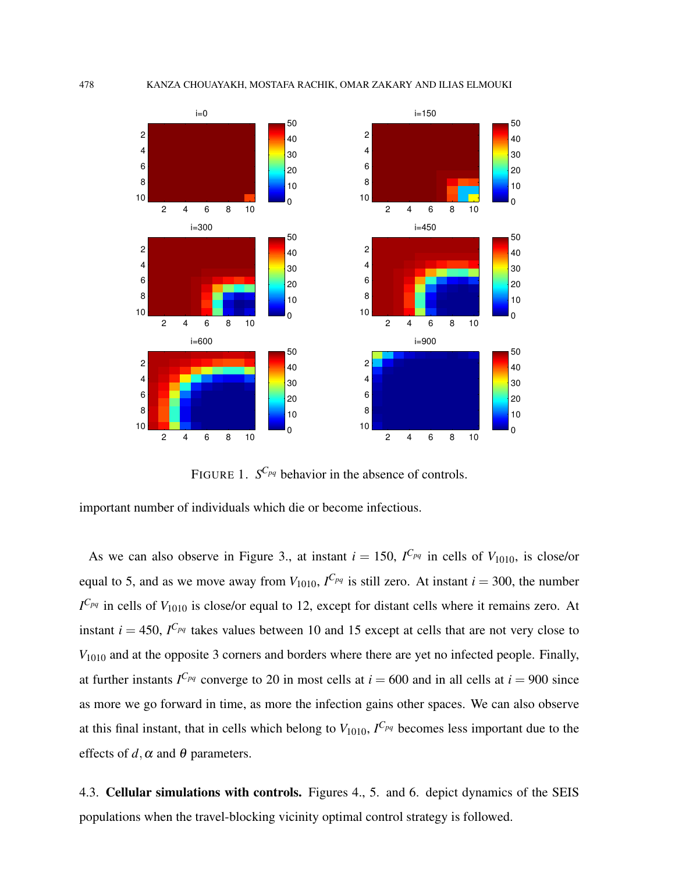

FIGURE 1.  $S^{C_{pq}}$  behavior in the absence of controls.

important number of individuals which die or become infectious.

As we can also observe in Figure 3., at instant  $i = 150$ ,  $I^{C_{pq}}$  in cells of  $V_{1010}$ , is close/or equal to 5, and as we move away from  $V_{1010}$ ,  $I^{C_{pq}}$  is still zero. At instant  $i = 300$ , the number *I <sup>C</sup>pq* in cells of *V*<sup>1010</sup> is close/or equal to 12, except for distant cells where it remains zero. At instant  $i = 450$ ,  $I^{C_{pq}}$  takes values between 10 and 15 except at cells that are not very close to *V*<sub>1010</sub> and at the opposite 3 corners and borders where there are yet no infected people. Finally, at further instants  $I^{C_{pq}}$  converge to 20 in most cells at  $i = 600$  and in all cells at  $i = 900$  since as more we go forward in time, as more the infection gains other spaces. We can also observe at this final instant, that in cells which belong to  $V_{1010}$ ,  $I^{C_{pq}}$  becomes less important due to the effects of  $d, \alpha$  and  $\theta$  parameters.

4.3. Cellular simulations with controls. Figures 4., 5. and 6. depict dynamics of the SEIS populations when the travel-blocking vicinity optimal control strategy is followed.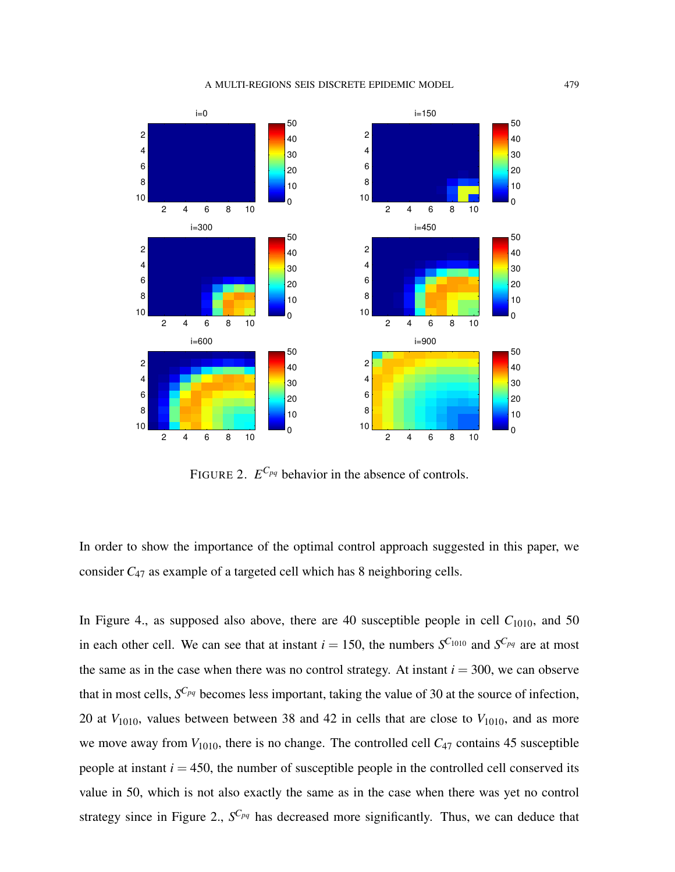#### A MULTI-REGIONS SEIS DISCRETE EPIDEMIC MODEL 479



FIGURE 2.  $E^{C_{pq}}$  behavior in the absence of controls.

In order to show the importance of the optimal control approach suggested in this paper, we consider *C*<sup>47</sup> as example of a targeted cell which has 8 neighboring cells.

In Figure 4., as supposed also above, there are 40 susceptible people in cell  $C_{1010}$ , and 50 in each other cell. We can see that at instant  $i = 150$ , the numbers  $S^{C_{1010}}$  and  $S^{C_{pq}}$  are at most the same as in the case when there was no control strategy. At instant  $i = 300$ , we can observe that in most cells, *S <sup>C</sup>pq* becomes less important, taking the value of 30 at the source of infection, 20 at  $V_{1010}$ , values between between 38 and 42 in cells that are close to  $V_{1010}$ , and as more we move away from  $V_{1010}$ , there is no change. The controlled cell  $C_{47}$  contains 45 susceptible people at instant  $i = 450$ , the number of susceptible people in the controlled cell conserved its value in 50, which is not also exactly the same as in the case when there was yet no control strategy since in Figure 2., *S <sup>C</sup>pq* has decreased more significantly. Thus, we can deduce that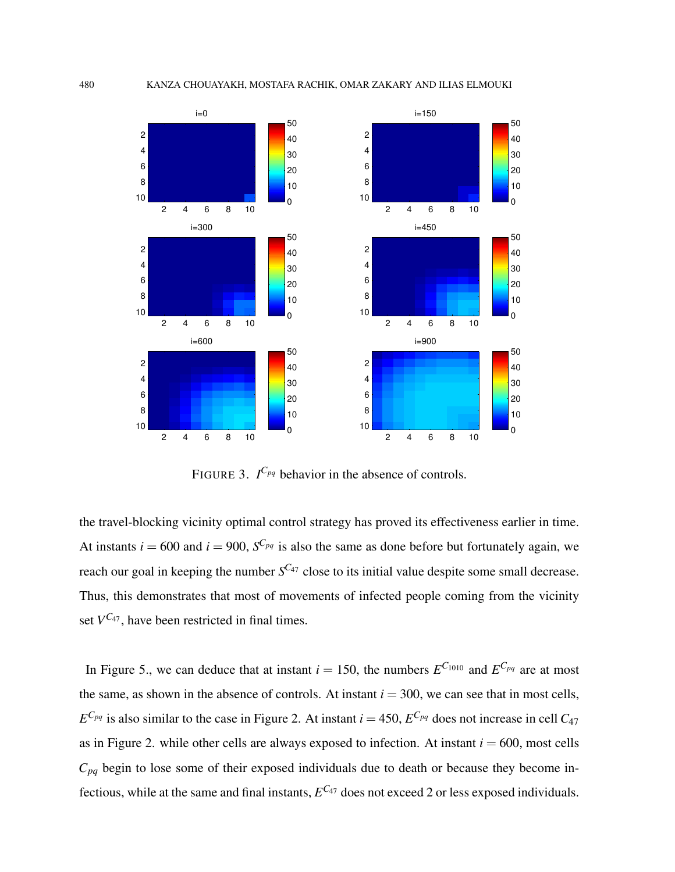

FIGURE 3.  $I^{C_{pq}}$  behavior in the absence of controls.

the travel-blocking vicinity optimal control strategy has proved its effectiveness earlier in time. At instants  $i = 600$  and  $i = 900$ ,  $S^{C_{pq}}$  is also the same as done before but fortunately again, we reach our goal in keeping the number  $S^{C_{47}}$  close to its initial value despite some small decrease. Thus, this demonstrates that most of movements of infected people coming from the vicinity set  $V^{C_{47}}$ , have been restricted in final times.

In Figure 5., we can deduce that at instant  $i = 150$ , the numbers  $E^{C_{1010}}$  and  $E^{C_{pq}}$  are at most the same, as shown in the absence of controls. At instant  $i = 300$ , we can see that in most cells,  $E^{C_{pq}}$  is also similar to the case in Figure 2. At instant  $i = 450$ ,  $E^{C_{pq}}$  does not increase in cell  $C_{47}$ as in Figure 2. while other cells are always exposed to infection. At instant  $i = 600$ , most cells  $C_{pq}$  begin to lose some of their exposed individuals due to death or because they become infectious, while at the same and final instants,  $E^{C_{47}}$  does not exceed 2 or less exposed individuals.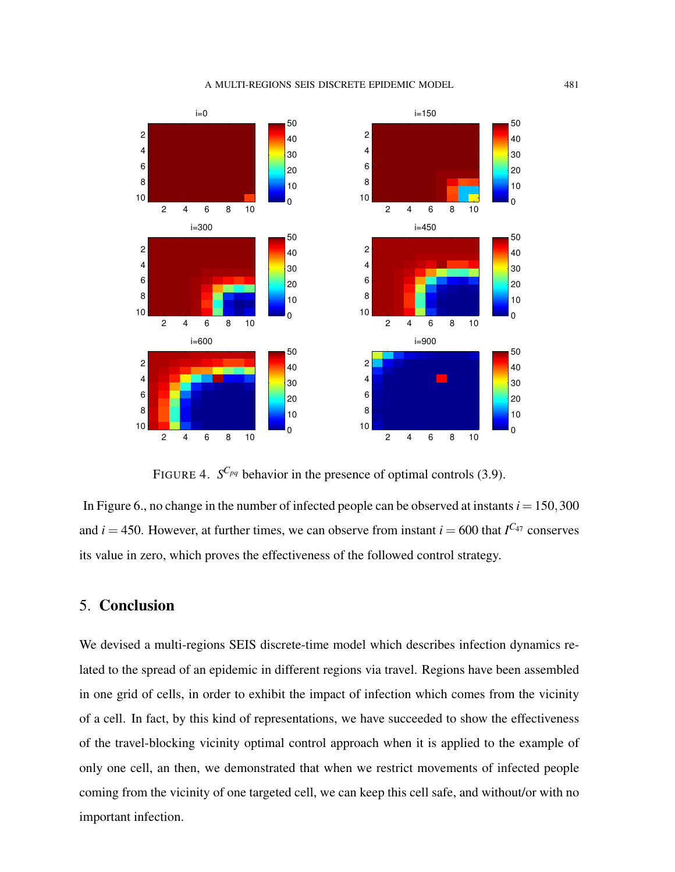#### A MULTI-REGIONS SEIS DISCRETE EPIDEMIC MODEL 481



FIGURE 4.  $S^{C_{pq}}$  behavior in the presence of optimal controls (3.9).

In Figure 6., no change in the number of infected people can be observed at instants  $i = 150,300$ and  $i = 450$ . However, at further times, we can observe from instant  $i = 600$  that  $I^{C_{47}}$  conserves its value in zero, which proves the effectiveness of the followed control strategy.

# 5. Conclusion

We devised a multi-regions SEIS discrete-time model which describes infection dynamics related to the spread of an epidemic in different regions via travel. Regions have been assembled in one grid of cells, in order to exhibit the impact of infection which comes from the vicinity of a cell. In fact, by this kind of representations, we have succeeded to show the effectiveness of the travel-blocking vicinity optimal control approach when it is applied to the example of only one cell, an then, we demonstrated that when we restrict movements of infected people coming from the vicinity of one targeted cell, we can keep this cell safe, and without/or with no important infection.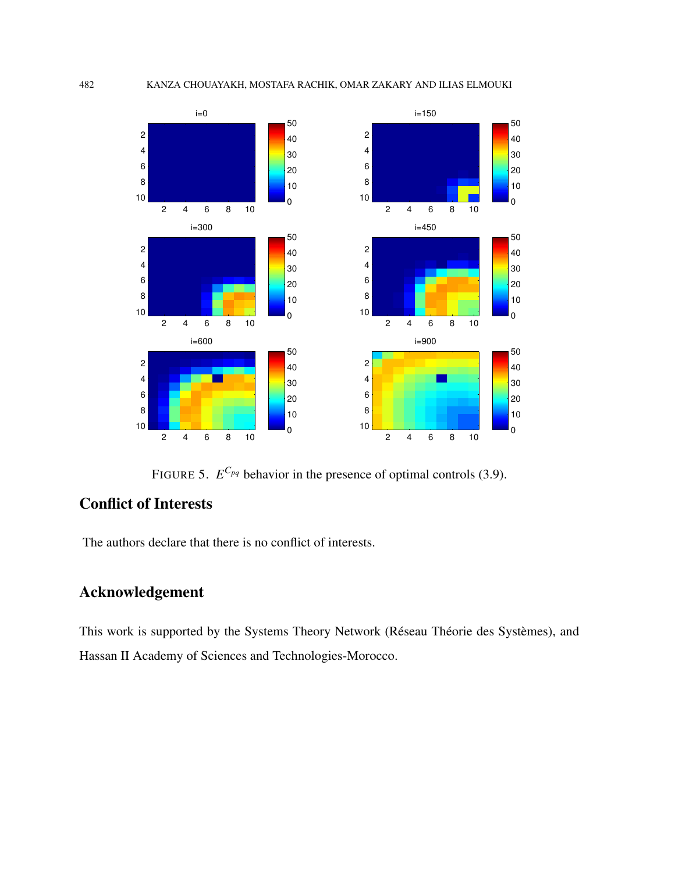

FIGURE 5.  $E^{C_{pq}}$  behavior in the presence of optimal controls (3.9).

# Conflict of Interests

The authors declare that there is no conflict of interests.

# Acknowledgement

This work is supported by the Systems Theory Network (Réseau Théorie des Systèmes), and Hassan II Academy of Sciences and Technologies-Morocco.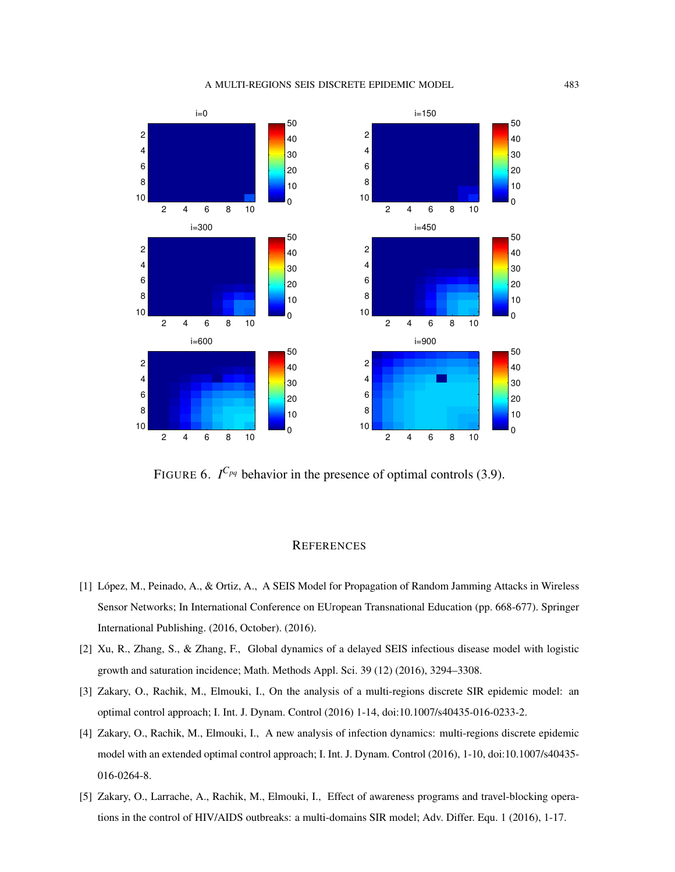#### A MULTI-REGIONS SEIS DISCRETE EPIDEMIC MODEL 483



FIGURE 6.  $I^{C_{pq}}$  behavior in the presence of optimal controls (3.9).

### **REFERENCES**

- [1] Lopez, M., Peinado, A., & Ortiz, A., A SEIS Model for Propagation of Random Jamming Attacks in Wireless ´ Sensor Networks; In International Conference on EUropean Transnational Education (pp. 668-677). Springer International Publishing. (2016, October). (2016).
- [2] Xu, R., Zhang, S., & Zhang, F., Global dynamics of a delayed SEIS infectious disease model with logistic growth and saturation incidence; Math. Methods Appl. Sci. 39 (12) (2016), 3294–3308.
- [3] Zakary, O., Rachik, M., Elmouki, I., On the analysis of a multi-regions discrete SIR epidemic model: an optimal control approach; I. Int. J. Dynam. Control (2016) 1-14, doi:10.1007/s40435-016-0233-2.
- [4] Zakary, O., Rachik, M., Elmouki, I., A new analysis of infection dynamics: multi-regions discrete epidemic model with an extended optimal control approach; I. Int. J. Dynam. Control (2016), 1-10, doi:10.1007/s40435- 016-0264-8.
- [5] Zakary, O., Larrache, A., Rachik, M., Elmouki, I., Effect of awareness programs and travel-blocking operations in the control of HIV/AIDS outbreaks: a multi-domains SIR model; Adv. Differ. Equ. 1 (2016), 1-17.